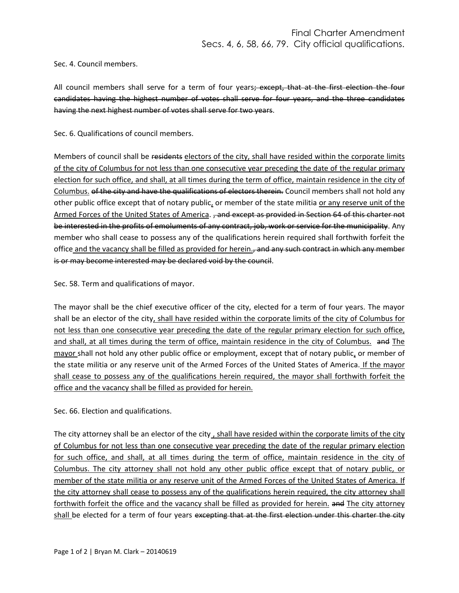Sec. 4. Council members.

All council members shall serve for a term of four years; except, that at the first election the four candidates having the highest number of votes shall serve for four years, and the three candidates having the next highest number of votes shall serve for two years.

Sec. 6. Qualifications of council members.

Members of council shall be residents electors of the city, shall have resided within the corporate limits of the city of Columbus for not less than one consecutive year preceding the date of the regular primary election for such office, and shall, at all times during the term of office, maintain residence in the city of Columbus. of the city and have the qualifications of electors therein. Council members shall not hold any other public office except that of notary public, or member of the state militia or any reserve unit of the Armed Forces of the United States of America. , and except as provided in Section 64 of this charter not be interested in the profits of emoluments of any contract, job, work or service for the municipality. Any member who shall cease to possess any of the qualifications herein required shall forthwith forfeit the office and the vacancy shall be filled as provided for herein., and any such contract in which any member is or may become interested may be declared void by the council.

Sec. 58. Term and qualifications of mayor.

The mayor shall be the chief executive officer of the city, elected for a term of four years. The mayor shall be an elector of the city, shall have resided within the corporate limits of the city of Columbus for not less than one consecutive year preceding the date of the regular primary election for such office, and shall, at all times during the term of office, maintain residence in the city of Columbus. and The mayor shall not hold any other public office or employment, except that of notary public, or member of the state militia or any reserve unit of the Armed Forces of the United States of America. If the mayor shall cease to possess any of the qualifications herein required, the mayor shall forthwith forfeit the office and the vacancy shall be filled as provided for herein.

Sec. 66. Election and qualifications.

The city attorney shall be an elector of the city, shall have resided within the corporate limits of the city of Columbus for not less than one consecutive year preceding the date of the regular primary election for such office, and shall, at all times during the term of office, maintain residence in the city of Columbus. The city attorney shall not hold any other public office except that of notary public, or member of the state militia or any reserve unit of the Armed Forces of the United States of America. If the city attorney shall cease to possess any of the qualifications herein required, the city attorney shall forthwith forfeit the office and the vacancy shall be filled as provided for herein. and The city attorney shall be elected for a term of four years excepting that at the first election under this charter the city